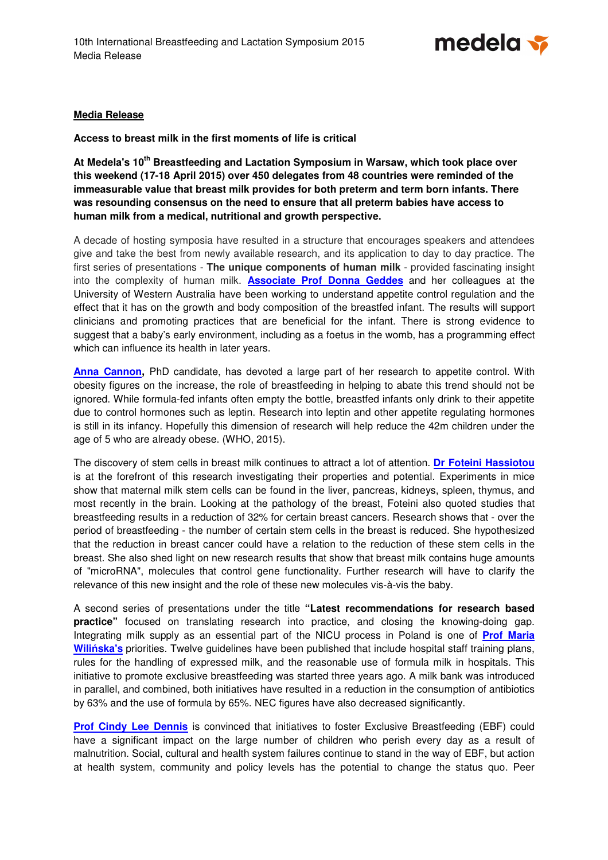

## **Media Release**

**Access to breast milk in the first moments of life is critical** 

**At Medela's 10th Breastfeeding and Lactation Symposium in Warsaw, which took place over this weekend (17-18 April 2015) over 450 delegates from 48 countries were reminded of the immeasurable value that breast milk provides for both preterm and term born infants. There was resounding consensus on the need to ensure that all preterm babies have access to human milk from a medical, nutritional and growth perspective.** 

A decade of hosting symposia have resulted in a structure that encourages speakers and attendees give and take the best from newly available research, and its application to day to day practice. The first series of presentations - **The unique components of human milk** - provided fascinating insight into the complexity of human milk. **Associate Prof Donna Geddes** and her colleagues at the University of Western Australia have been working to understand appetite control regulation and the effect that it has on the growth and body composition of the breastfed infant. The results will support clinicians and promoting practices that are beneficial for the infant. There is strong evidence to suggest that a baby's early environment, including as a foetus in the womb, has a programming effect which can influence its health in later years.

**Anna Cannon,** PhD candidate, has devoted a large part of her research to appetite control. With obesity figures on the increase, the role of breastfeeding in helping to abate this trend should not be ignored. While formula-fed infants often empty the bottle, breastfed infants only drink to their appetite due to control hormones such as leptin. Research into leptin and other appetite regulating hormones is still in its infancy. Hopefully this dimension of research will help reduce the 42m children under the age of 5 who are already obese. (WHO, 2015).

The discovery of stem cells in breast milk continues to attract a lot of attention. **Dr Foteini Hassiotou** is at the forefront of this research investigating their properties and potential. Experiments in mice show that maternal milk stem cells can be found in the liver, pancreas, kidneys, spleen, thymus, and most recently in the brain. Looking at the pathology of the breast, Foteini also quoted studies that breastfeeding results in a reduction of 32% for certain breast cancers. Research shows that - over the period of breastfeeding - the number of certain stem cells in the breast is reduced. She hypothesized that the reduction in breast cancer could have a relation to the reduction of these stem cells in the breast. She also shed light on new research results that show that breast milk contains huge amounts of "microRNA", molecules that control gene functionality. Further research will have to clarify the relevance of this new insight and the role of these new molecules vis-à-vis the baby.

A second series of presentations under the title **"Latest recommendations for research based practice**" focused on translating research into practice, and closing the knowing-doing gap. Integrating milk supply as an essential part of the NICU process in Poland is one of **Prof Maria Wili**ń**ska's** priorities. Twelve guidelines have been published that include hospital staff training plans, rules for the handling of expressed milk, and the reasonable use of formula milk in hospitals. This initiative to promote exclusive breastfeeding was started three years ago. A milk bank was introduced in parallel, and combined, both initiatives have resulted in a reduction in the consumption of antibiotics by 63% and the use of formula by 65%. NEC figures have also decreased significantly.

**Prof Cindy Lee Dennis** is convinced that initiatives to foster Exclusive Breastfeeding (EBF) could have a significant impact on the large number of children who perish every day as a result of malnutrition. Social, cultural and health system failures continue to stand in the way of EBF, but action at health system, community and policy levels has the potential to change the status quo. Peer